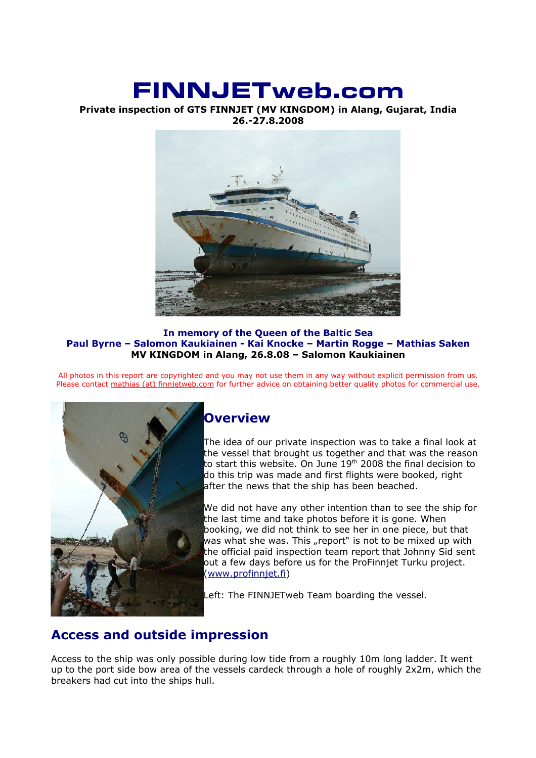# FINNJETweb.com

**Private inspection of GTS FINNJET (MV KINGDOM) in Alang, Gujarat, India 26.-27.8.2008**



#### **In memory of the Queen of the Baltic Sea Paul Byrne – Salomon Kaukiainen - Kai Knocke – Martin Rogge – Mathias Saken MV KINGDOM in Alang, 26.8.08 – Salomon Kaukiainen**

All photos in this report are copyrighted and you may not use them in any way without explicit permission from us. Please contact mathias (at) [finnjetweb.com](mailto:mathias@finnjetweb.com) for further advice on obtaining better quality photos for commercial use.



#### **Overview**

The idea of our private inspection was to take a final look at the vessel that brought us together and that was the reason to start this website. On June 19<sup>th</sup> 2008 the final decision to do this trip was made and first flights were booked, right after the news that the ship has been beached.

We did not have any other intention than to see the ship for the last time and take photos before it is gone. When booking, we did not think to see her in one piece, but that was what she was. This "report" is not to be mixed up with the official paid inspection team report that Johnny Sid sent out a few days before us for the ProFinnjet Turku project. ([www.profinnjet.fi\)](http://www.profinnjet.fi/)

Left: The FINNJETweb Team boarding the vessel.

#### **Access and outside impression**

Access to the ship was only possible during low tide from a roughly 10m long ladder. It went up to the port side bow area of the vessels cardeck through a hole of roughly 2x2m, which the breakers had cut into the ships hull.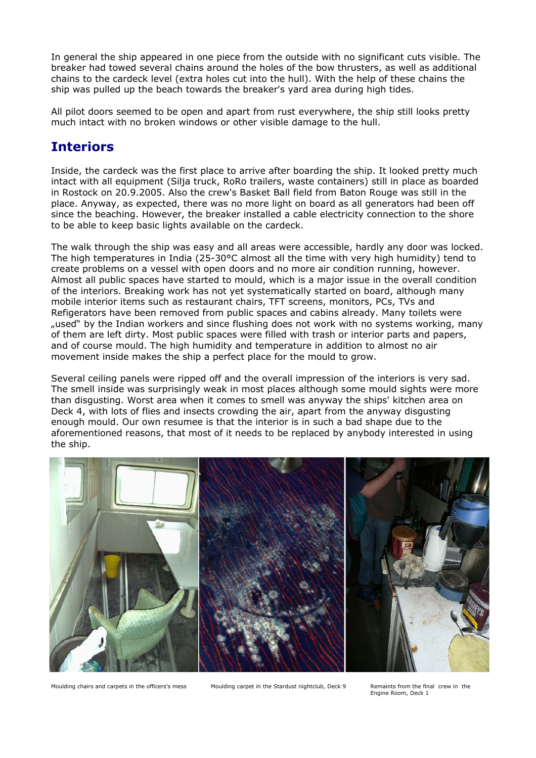In general the ship appeared in one piece from the outside with no significant cuts visible. The breaker had towed several chains around the holes of the bow thrusters, as well as additional chains to the cardeck level (extra holes cut into the hull). With the help of these chains the ship was pulled up the beach towards the breaker's yard area during high tides.

All pilot doors seemed to be open and apart from rust everywhere, the ship still looks pretty much intact with no broken windows or other visible damage to the hull.

### **Interiors**

Inside, the cardeck was the first place to arrive after boarding the ship. It looked pretty much intact with all equipment (Silja truck, RoRo trailers, waste containers) still in place as boarded in Rostock on 20.9.2005. Also the crew's Basket Ball field from Baton Rouge was still in the place. Anyway, as expected, there was no more light on board as all generators had been off since the beaching. However, the breaker installed a cable electricity connection to the shore to be able to keep basic lights available on the cardeck.

The walk through the ship was easy and all areas were accessible, hardly any door was locked. The high temperatures in India (25-30°C almost all the time with very high humidity) tend to create problems on a vessel with open doors and no more air condition running, however. Almost all public spaces have started to mould, which is a major issue in the overall condition of the interiors. Breaking work has not yet systematically started on board, although many mobile interior items such as restaurant chairs, TFT screens, monitors, PCs, TVs and Refigerators have been removed from public spaces and cabins already. Many toilets were "used" by the Indian workers and since flushing does not work with no systems working, many of them are left dirty. Most public spaces were filled with trash or interior parts and papers, and of course mould. The high humidity and temperature in addition to almost no air movement inside makes the ship a perfect place for the mould to grow.

Several ceiling panels were ripped off and the overall impression of the interiors is very sad. The smell inside was surprisingly weak in most places although some mould sights were more than disgusting. Worst area when it comes to smell was anyway the ships' kitchen area on Deck 4, with lots of flies and insects crowding the air, apart from the anyway disgusting enough mould. Our own resumee is that the interior is in such a bad shape due to the aforementioned reasons, that most of it needs to be replaced by anybody interested in using the ship.



Moulding chairs and carpets in the officers's mess Moulding carpet in the Stardust nightclub, Deck 9 Remaints from the final crew in the

Engine Room, Deck 1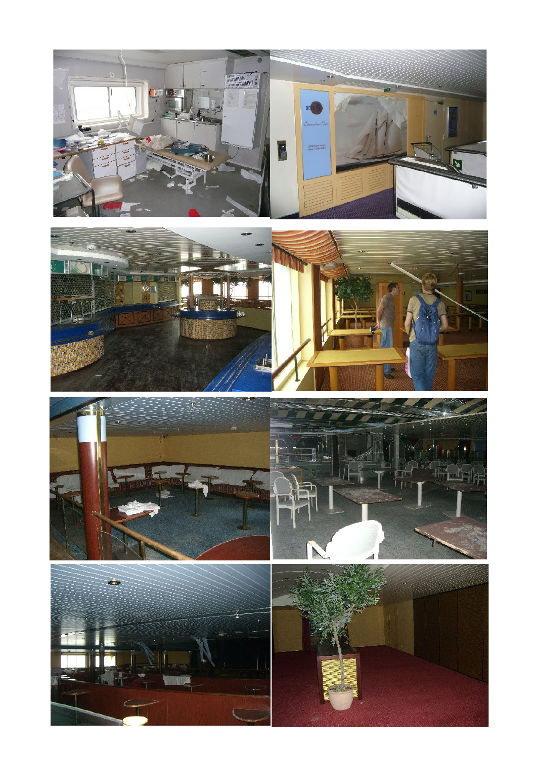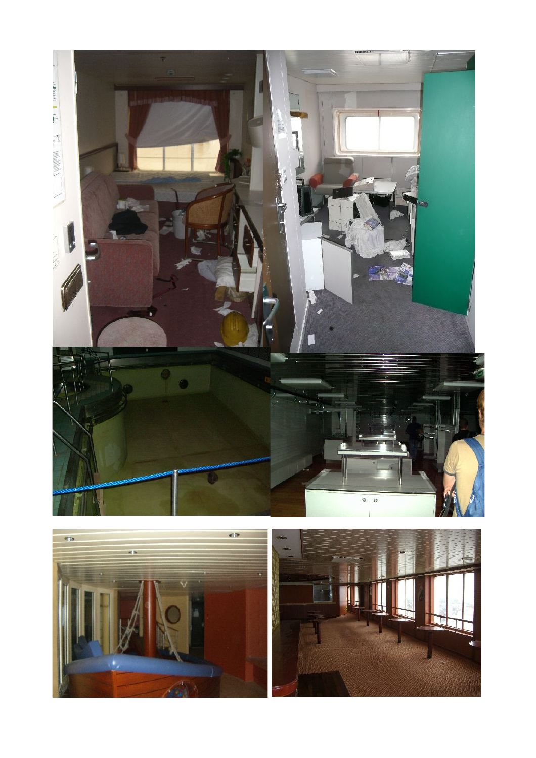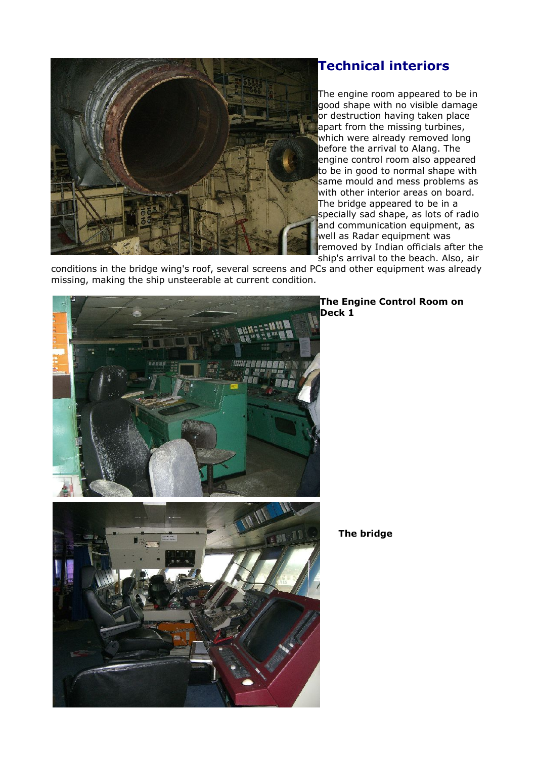

#### **Technical interiors**

The engine room appeared to be in good shape with no visible damage or destruction having taken place apart from the missing turbines, which were already removed long before the arrival to Alang. The engine control room also appeared to be in good to normal shape with same mould and mess problems as with other interior areas on board. The bridge appeared to be in a specially sad shape, as lots of radio and communication equipment, as well as Radar equipment was removed by Indian officials after the ship's arrival to the beach. Also, air

conditions in the bridge wing's roof, several screens and PCs and other equipment was already missing, making the ship unsteerable at current condition.



**The Engine Control Room on Deck 1**

**The bridge**